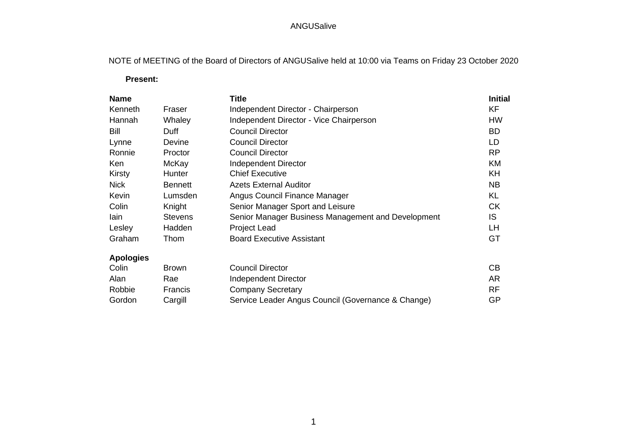# ANGUSalive

NOTE of MEETING of the Board of Directors of ANGUSalive held at 10:00 via Teams on Friday 23 October 2020

### **Present:**

| <b>Name</b>      |                | <b>Title</b>                                       | <b>Initial</b> |
|------------------|----------------|----------------------------------------------------|----------------|
| Kenneth          | Fraser         | Independent Director - Chairperson                 | <b>KF</b>      |
| Hannah           | Whaley         | Independent Director - Vice Chairperson            | <b>HW</b>      |
| <b>Bill</b>      | Duff           | <b>Council Director</b>                            | <b>BD</b>      |
| Lynne            | <b>Devine</b>  | <b>Council Director</b>                            | LD             |
| Ronnie           | Proctor        | <b>Council Director</b>                            | <b>RP</b>      |
| Ken              | McKay          | <b>Independent Director</b>                        | KM             |
| Kirsty           | Hunter         | <b>Chief Executive</b>                             | KH             |
| <b>Nick</b>      | <b>Bennett</b> | <b>Azets External Auditor</b>                      | <b>NB</b>      |
| Kevin            | Lumsden        | Angus Council Finance Manager                      | <b>KL</b>      |
| Colin            | Knight         | Senior Manager Sport and Leisure                   | <b>CK</b>      |
| lain             | <b>Stevens</b> | Senior Manager Business Management and Development | IS             |
| Lesley           | Hadden         | <b>Project Lead</b>                                | LH             |
| Graham           | Thom           | <b>Board Executive Assistant</b>                   | GT             |
| <b>Apologies</b> |                |                                                    |                |
| Colin            | <b>Brown</b>   | <b>Council Director</b>                            | CB             |
| Alan             | Rae            | Independent Director                               | <b>AR</b>      |
| Robbie           | Francis        | <b>Company Secretary</b>                           | <b>RF</b>      |
| Gordon           | Cargill        | Service Leader Angus Council (Governance & Change) | <b>GP</b>      |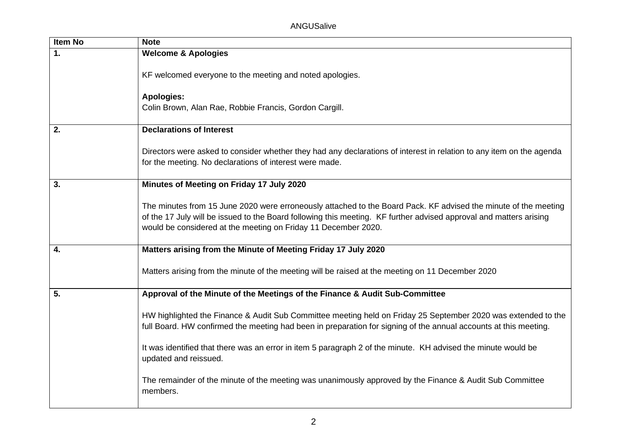| <b>Item No</b> | <b>Note</b>                                                                                                                                                                                                                                                                                             |
|----------------|---------------------------------------------------------------------------------------------------------------------------------------------------------------------------------------------------------------------------------------------------------------------------------------------------------|
| $\mathbf{1}$ . | <b>Welcome &amp; Apologies</b>                                                                                                                                                                                                                                                                          |
|                | KF welcomed everyone to the meeting and noted apologies.                                                                                                                                                                                                                                                |
|                | <b>Apologies:</b><br>Colin Brown, Alan Rae, Robbie Francis, Gordon Cargill.                                                                                                                                                                                                                             |
| 2.             | <b>Declarations of Interest</b>                                                                                                                                                                                                                                                                         |
|                | Directors were asked to consider whether they had any declarations of interest in relation to any item on the agenda<br>for the meeting. No declarations of interest were made.                                                                                                                         |
| 3.             | Minutes of Meeting on Friday 17 July 2020                                                                                                                                                                                                                                                               |
|                | The minutes from 15 June 2020 were erroneously attached to the Board Pack. KF advised the minute of the meeting<br>of the 17 July will be issued to the Board following this meeting. KF further advised approval and matters arising<br>would be considered at the meeting on Friday 11 December 2020. |
| 4.             | Matters arising from the Minute of Meeting Friday 17 July 2020                                                                                                                                                                                                                                          |
|                | Matters arising from the minute of the meeting will be raised at the meeting on 11 December 2020                                                                                                                                                                                                        |
| 5.             | Approval of the Minute of the Meetings of the Finance & Audit Sub-Committee                                                                                                                                                                                                                             |
|                | HW highlighted the Finance & Audit Sub Committee meeting held on Friday 25 September 2020 was extended to the<br>full Board. HW confirmed the meeting had been in preparation for signing of the annual accounts at this meeting.                                                                       |
|                | It was identified that there was an error in item 5 paragraph 2 of the minute. KH advised the minute would be<br>updated and reissued.                                                                                                                                                                  |
|                | The remainder of the minute of the meeting was unanimously approved by the Finance & Audit Sub Committee<br>members.                                                                                                                                                                                    |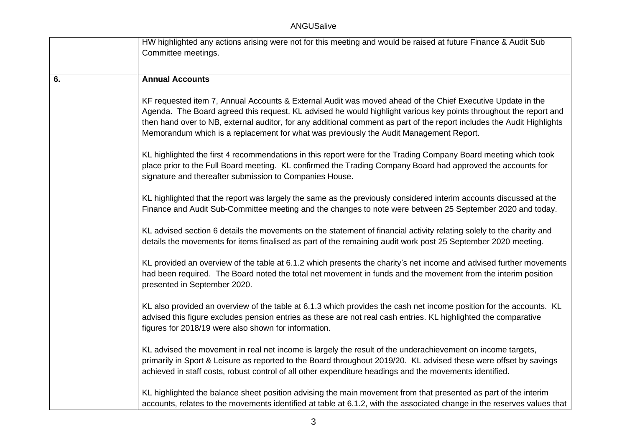## ANGUSalive

|    | HW highlighted any actions arising were not for this meeting and would be raised at future Finance & Audit Sub<br>Committee meetings.                                                                                                                                                                                                                                                                                                               |
|----|-----------------------------------------------------------------------------------------------------------------------------------------------------------------------------------------------------------------------------------------------------------------------------------------------------------------------------------------------------------------------------------------------------------------------------------------------------|
| 6. | <b>Annual Accounts</b>                                                                                                                                                                                                                                                                                                                                                                                                                              |
|    | KF requested item 7, Annual Accounts & External Audit was moved ahead of the Chief Executive Update in the<br>Agenda. The Board agreed this request. KL advised he would highlight various key points throughout the report and<br>then hand over to NB, external auditor, for any additional comment as part of the report includes the Audit Highlights<br>Memorandum which is a replacement for what was previously the Audit Management Report. |
|    | KL highlighted the first 4 recommendations in this report were for the Trading Company Board meeting which took<br>place prior to the Full Board meeting. KL confirmed the Trading Company Board had approved the accounts for<br>signature and thereafter submission to Companies House.                                                                                                                                                           |
|    | KL highlighted that the report was largely the same as the previously considered interim accounts discussed at the<br>Finance and Audit Sub-Committee meeting and the changes to note were between 25 September 2020 and today.                                                                                                                                                                                                                     |
|    | KL advised section 6 details the movements on the statement of financial activity relating solely to the charity and<br>details the movements for items finalised as part of the remaining audit work post 25 September 2020 meeting.                                                                                                                                                                                                               |
|    | KL provided an overview of the table at 6.1.2 which presents the charity's net income and advised further movements<br>had been required. The Board noted the total net movement in funds and the movement from the interim position<br>presented in September 2020.                                                                                                                                                                                |
|    | KL also provided an overview of the table at 6.1.3 which provides the cash net income position for the accounts. KL<br>advised this figure excludes pension entries as these are not real cash entries. KL highlighted the comparative<br>figures for 2018/19 were also shown for information.                                                                                                                                                      |
|    | KL advised the movement in real net income is largely the result of the underachievement on income targets,<br>primarily in Sport & Leisure as reported to the Board throughout 2019/20. KL advised these were offset by savings<br>achieved in staff costs, robust control of all other expenditure headings and the movements identified.                                                                                                         |
|    | KL highlighted the balance sheet position advising the main movement from that presented as part of the interim<br>accounts, relates to the movements identified at table at 6.1.2, with the associated change in the reserves values that                                                                                                                                                                                                          |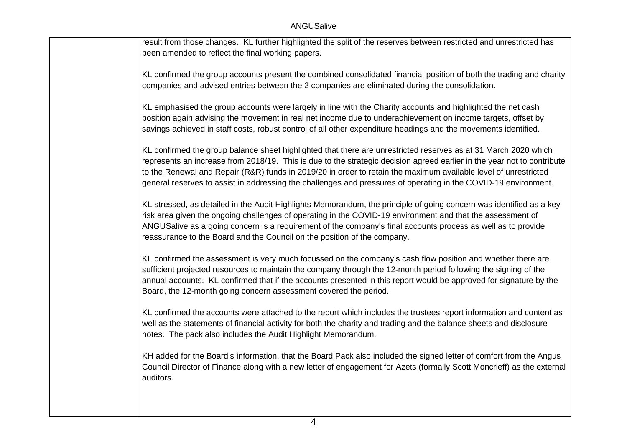| result from those changes. KL further highlighted the split of the reserves between restricted and unrestricted has |
|---------------------------------------------------------------------------------------------------------------------|
| been amended to reflect the final working papers.                                                                   |
|                                                                                                                     |

KL confirmed the group accounts present the combined consolidated financial position of both the trading and charity companies and advised entries between the 2 companies are eliminated during the consolidation.

KL emphasised the group accounts were largely in line with the Charity accounts and highlighted the net cash position again advising the movement in real net income due to underachievement on income targets, offset by savings achieved in staff costs, robust control of all other expenditure headings and the movements identified.

KL confirmed the group balance sheet highlighted that there are unrestricted reserves as at 31 March 2020 which represents an increase from 2018/19. This is due to the strategic decision agreed earlier in the year not to contribute to the Renewal and Repair (R&R) funds in 2019/20 in order to retain the maximum available level of unrestricted general reserves to assist in addressing the challenges and pressures of operating in the COVID-19 environment.

KL stressed, as detailed in the Audit Highlights Memorandum, the principle of going concern was identified as a key risk area given the ongoing challenges of operating in the COVID-19 environment and that the assessment of ANGUSalive as a going concern is a requirement of the company's final accounts process as well as to provide reassurance to the Board and the Council on the position of the company.

KL confirmed the assessment is very much focussed on the company's cash flow position and whether there are sufficient projected resources to maintain the company through the 12-month period following the signing of the annual accounts. KL confirmed that if the accounts presented in this report would be approved for signature by the Board, the 12-month going concern assessment covered the period.

KL confirmed the accounts were attached to the report which includes the trustees report information and content as well as the statements of financial activity for both the charity and trading and the balance sheets and disclosure notes. The pack also includes the Audit Highlight Memorandum.

KH added for the Board's information, that the Board Pack also included the signed letter of comfort from the Angus Council Director of Finance along with a new letter of engagement for Azets (formally Scott Moncrieff) as the external auditors.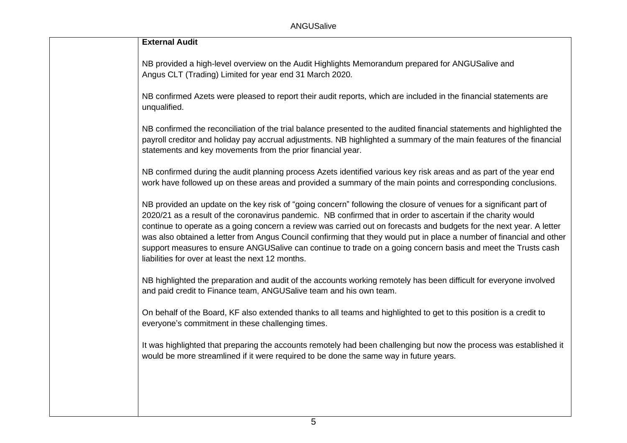| <b>External Audit</b>                                                                                                                                                                                                                                                                                                                                                                                                                                                                                                                                                                                                                                      |
|------------------------------------------------------------------------------------------------------------------------------------------------------------------------------------------------------------------------------------------------------------------------------------------------------------------------------------------------------------------------------------------------------------------------------------------------------------------------------------------------------------------------------------------------------------------------------------------------------------------------------------------------------------|
| NB provided a high-level overview on the Audit Highlights Memorandum prepared for ANGUSalive and<br>Angus CLT (Trading) Limited for year end 31 March 2020.                                                                                                                                                                                                                                                                                                                                                                                                                                                                                                |
| NB confirmed Azets were pleased to report their audit reports, which are included in the financial statements are<br>unqualified.                                                                                                                                                                                                                                                                                                                                                                                                                                                                                                                          |
| NB confirmed the reconciliation of the trial balance presented to the audited financial statements and highlighted the<br>payroll creditor and holiday pay accrual adjustments. NB highlighted a summary of the main features of the financial<br>statements and key movements from the prior financial year.                                                                                                                                                                                                                                                                                                                                              |
| NB confirmed during the audit planning process Azets identified various key risk areas and as part of the year end<br>work have followed up on these areas and provided a summary of the main points and corresponding conclusions.                                                                                                                                                                                                                                                                                                                                                                                                                        |
| NB provided an update on the key risk of "going concern" following the closure of venues for a significant part of<br>2020/21 as a result of the coronavirus pandemic. NB confirmed that in order to ascertain if the charity would<br>continue to operate as a going concern a review was carried out on forecasts and budgets for the next year. A letter<br>was also obtained a letter from Angus Council confirming that they would put in place a number of financial and other<br>support measures to ensure ANGUSalive can continue to trade on a going concern basis and meet the Trusts cash<br>liabilities for over at least the next 12 months. |
| NB highlighted the preparation and audit of the accounts working remotely has been difficult for everyone involved<br>and paid credit to Finance team, ANGUSalive team and his own team.                                                                                                                                                                                                                                                                                                                                                                                                                                                                   |
| On behalf of the Board, KF also extended thanks to all teams and highlighted to get to this position is a credit to<br>everyone's commitment in these challenging times.                                                                                                                                                                                                                                                                                                                                                                                                                                                                                   |
| It was highlighted that preparing the accounts remotely had been challenging but now the process was established it<br>would be more streamlined if it were required to be done the same way in future years.                                                                                                                                                                                                                                                                                                                                                                                                                                              |
|                                                                                                                                                                                                                                                                                                                                                                                                                                                                                                                                                                                                                                                            |
|                                                                                                                                                                                                                                                                                                                                                                                                                                                                                                                                                                                                                                                            |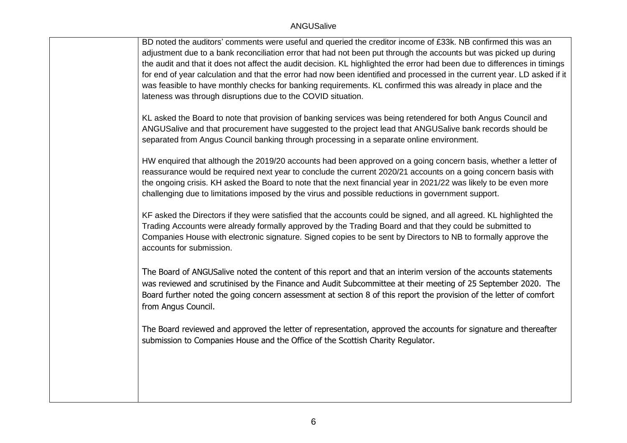#### **ANGUSalive**

BD noted the auditors' comments were useful and queried the creditor income of £33k. NB confirmed this was an adjustment due to a bank reconciliation error that had not been put through the accounts but was picked up during the audit and that it does not affect the audit decision. KL highlighted the error had been due to differences in timings for end of year calculation and that the error had now been identified and processed in the current year. LD asked if it was feasible to have monthly checks for banking requirements. KL confirmed this was already in place and the lateness was through disruptions due to the COVID situation.

KL asked the Board to note that provision of banking services was being retendered for both Angus Council and ANGUSalive and that procurement have suggested to the project lead that ANGUSalive bank records should be separated from Angus Council banking through processing in a separate online environment.

HW enquired that although the 2019/20 accounts had been approved on a going concern basis, whether a letter of reassurance would be required next year to conclude the current 2020/21 accounts on a going concern basis with the ongoing crisis. KH asked the Board to note that the next financial year in 2021/22 was likely to be even more challenging due to limitations imposed by the virus and possible reductions in government support.

KF asked the Directors if they were satisfied that the accounts could be signed, and all agreed. KL highlighted the Trading Accounts were already formally approved by the Trading Board and that they could be submitted to Companies House with electronic signature. Signed copies to be sent by Directors to NB to formally approve the accounts for submission.

The Board of ANGUSalive noted the content of this report and that an interim version of the accounts statements was reviewed and scrutinised by the Finance and Audit Subcommittee at their meeting of 25 September 2020. The Board further noted the going concern assessment at section 8 of this report the provision of the letter of comfort from Angus Council.

The Board reviewed and approved the letter of representation, approved the accounts for signature and thereafter submission to Companies House and the Office of the Scottish Charity Regulator.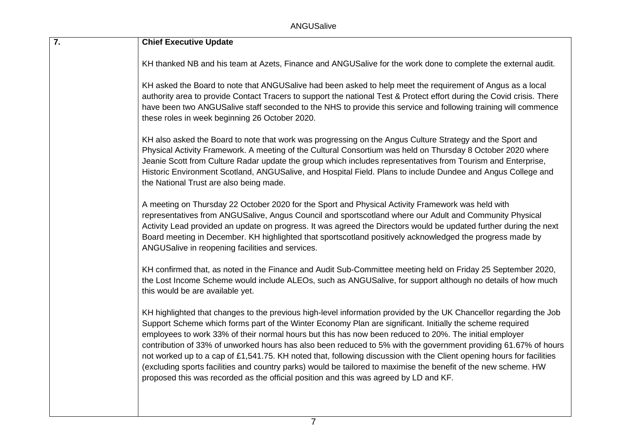| $\overline{7}$ . | <b>Chief Executive Update</b>                                                                                                                                                                                                                                                                                                                                                                                                                                                                                                                                                                                                                                                                                                                                                                     |
|------------------|---------------------------------------------------------------------------------------------------------------------------------------------------------------------------------------------------------------------------------------------------------------------------------------------------------------------------------------------------------------------------------------------------------------------------------------------------------------------------------------------------------------------------------------------------------------------------------------------------------------------------------------------------------------------------------------------------------------------------------------------------------------------------------------------------|
|                  | KH thanked NB and his team at Azets, Finance and ANGUSalive for the work done to complete the external audit.                                                                                                                                                                                                                                                                                                                                                                                                                                                                                                                                                                                                                                                                                     |
|                  | KH asked the Board to note that ANGUSalive had been asked to help meet the requirement of Angus as a local<br>authority area to provide Contact Tracers to support the national Test & Protect effort during the Covid crisis. There<br>have been two ANGUSalive staff seconded to the NHS to provide this service and following training will commence<br>these roles in week beginning 26 October 2020.                                                                                                                                                                                                                                                                                                                                                                                         |
|                  | KH also asked the Board to note that work was progressing on the Angus Culture Strategy and the Sport and<br>Physical Activity Framework. A meeting of the Cultural Consortium was held on Thursday 8 October 2020 where<br>Jeanie Scott from Culture Radar update the group which includes representatives from Tourism and Enterprise,<br>Historic Environment Scotland, ANGUSalive, and Hospital Field. Plans to include Dundee and Angus College and<br>the National Trust are also being made.                                                                                                                                                                                                                                                                                               |
|                  | A meeting on Thursday 22 October 2020 for the Sport and Physical Activity Framework was held with<br>representatives from ANGUSalive, Angus Council and sportscotland where our Adult and Community Physical<br>Activity Lead provided an update on progress. It was agreed the Directors would be updated further during the next<br>Board meeting in December. KH highlighted that sportscotland positively acknowledged the progress made by<br>ANGUSalive in reopening facilities and services.                                                                                                                                                                                                                                                                                               |
|                  | KH confirmed that, as noted in the Finance and Audit Sub-Committee meeting held on Friday 25 September 2020,<br>the Lost Income Scheme would include ALEOs, such as ANGUSalive, for support although no details of how much<br>this would be are available yet.                                                                                                                                                                                                                                                                                                                                                                                                                                                                                                                                   |
|                  | KH highlighted that changes to the previous high-level information provided by the UK Chancellor regarding the Job<br>Support Scheme which forms part of the Winter Economy Plan are significant. Initially the scheme required<br>employees to work 33% of their normal hours but this has now been reduced to 20%. The initial employer<br>contribution of 33% of unworked hours has also been reduced to 5% with the government providing 61.67% of hours<br>not worked up to a cap of £1,541.75. KH noted that, following discussion with the Client opening hours for facilities<br>(excluding sports facilities and country parks) would be tailored to maximise the benefit of the new scheme. HW<br>proposed this was recorded as the official position and this was agreed by LD and KF. |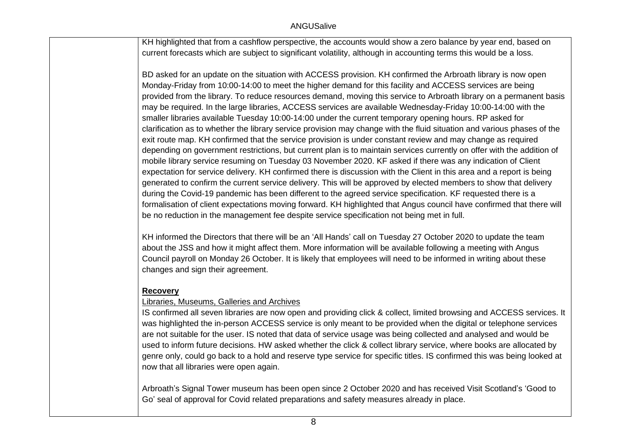KH highlighted that from a cashflow perspective, the accounts would show a zero balance by year end, based on current forecasts which are subject to significant volatility, although in accounting terms this would be a loss.

BD asked for an update on the situation with ACCESS provision. KH confirmed the Arbroath library is now open Monday-Friday from 10:00-14:00 to meet the higher demand for this facility and ACCESS services are being provided from the library. To reduce resources demand, moving this service to Arbroath library on a permanent basis may be required. In the large libraries, ACCESS services are available Wednesday-Friday 10:00-14:00 with the smaller libraries available Tuesday 10:00-14:00 under the current temporary opening hours. RP asked for clarification as to whether the library service provision may change with the fluid situation and various phases of the exit route map. KH confirmed that the service provision is under constant review and may change as required depending on government restrictions, but current plan is to maintain services currently on offer with the addition of mobile library service resuming on Tuesday 03 November 2020. KF asked if there was any indication of Client expectation for service delivery. KH confirmed there is discussion with the Client in this area and a report is being generated to confirm the current service delivery. This will be approved by elected members to show that delivery during the Covid-19 pandemic has been different to the agreed service specification. KF requested there is a formalisation of client expectations moving forward. KH highlighted that Angus council have confirmed that there will be no reduction in the management fee despite service specification not being met in full.

KH informed the Directors that there will be an 'All Hands' call on Tuesday 27 October 2020 to update the team about the JSS and how it might affect them. More information will be available following a meeting with Angus Council payroll on Monday 26 October. It is likely that employees will need to be informed in writing about these changes and sign their agreement.

## **Recovery**

### Libraries, Museums, Galleries and Archives

IS confirmed all seven libraries are now open and providing click & collect, limited browsing and ACCESS services. It was highlighted the in-person ACCESS service is only meant to be provided when the digital or telephone services are not suitable for the user. IS noted that data of service usage was being collected and analysed and would be used to inform future decisions. HW asked whether the click & collect library service, where books are allocated by genre only, could go back to a hold and reserve type service for specific titles. IS confirmed this was being looked at now that all libraries were open again.

Arbroath's Signal Tower museum has been open since 2 October 2020 and has received Visit Scotland's 'Good to Go' seal of approval for Covid related preparations and safety measures already in place.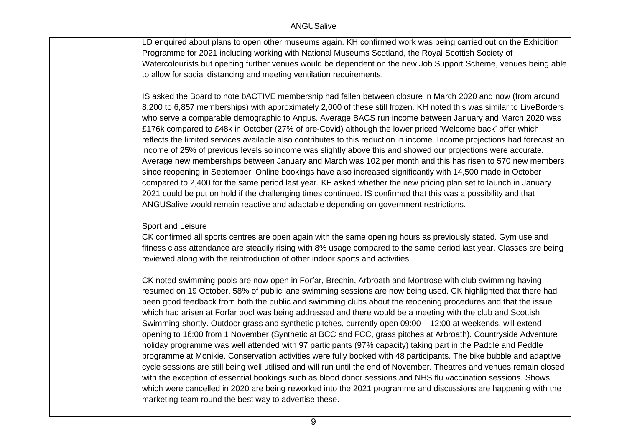LD enquired about plans to open other museums again. KH confirmed work was being carried out on the Exhibition Programme for 2021 including working with National Museums Scotland, the Royal Scottish Society of Watercolourists but opening further venues would be dependent on the new Job Support Scheme, venues being able to allow for social distancing and meeting ventilation requirements.

IS asked the Board to note bACTIVE membership had fallen between closure in March 2020 and now (from around 8,200 to 6,857 memberships) with approximately 2,000 of these still frozen. KH noted this was similar to LiveBorders who serve a comparable demographic to Angus. Average BACS run income between January and March 2020 was £176k compared to £48k in October (27% of pre-Covid) although the lower priced 'Welcome back' offer which reflects the limited services available also contributes to this reduction in income. Income projections had forecast an income of 25% of previous levels so income was slightly above this and showed our projections were accurate. Average new memberships between January and March was 102 per month and this has risen to 570 new members since reopening in September. Online bookings have also increased significantly with 14,500 made in October compared to 2,400 for the same period last year. KF asked whether the new pricing plan set to launch in January 2021 could be put on hold if the challenging times continued. IS confirmed that this was a possibility and that ANGUSalive would remain reactive and adaptable depending on government restrictions.

# Sport and Leisure

CK confirmed all sports centres are open again with the same opening hours as previously stated. Gym use and fitness class attendance are steadily rising with 8% usage compared to the same period last year. Classes are being reviewed along with the reintroduction of other indoor sports and activities.

CK noted swimming pools are now open in Forfar, Brechin, Arbroath and Montrose with club swimming having resumed on 19 October. 58% of public lane swimming sessions are now being used. CK highlighted that there had been good feedback from both the public and swimming clubs about the reopening procedures and that the issue which had arisen at Forfar pool was being addressed and there would be a meeting with the club and Scottish Swimming shortly. Outdoor grass and synthetic pitches, currently open 09:00 – 12:00 at weekends, will extend opening to 16:00 from 1 November (Synthetic at BCC and FCC, grass pitches at Arbroath). Countryside Adventure holiday programme was well attended with 97 participants (97% capacity) taking part in the Paddle and Peddle programme at Monikie. Conservation activities were fully booked with 48 participants. The bike bubble and adaptive cycle sessions are still being well utilised and will run until the end of November. Theatres and venues remain closed with the exception of essential bookings such as blood donor sessions and NHS flu vaccination sessions. Shows which were cancelled in 2020 are being reworked into the 2021 programme and discussions are happening with the marketing team round the best way to advertise these.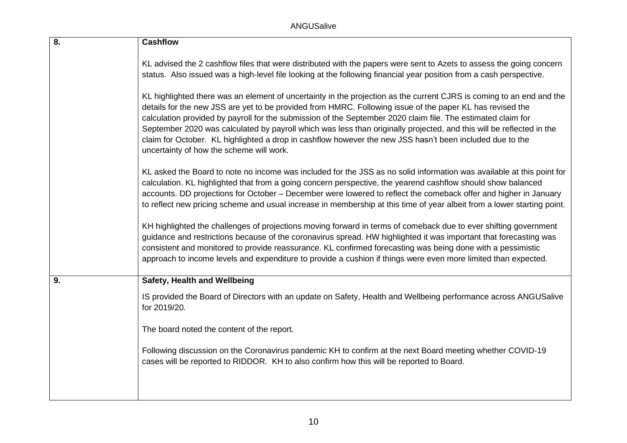| $\overline{8}$ . | <b>Cashflow</b>                                                                                                                                                                                                                                                                                                                                                                                                                                                                                                                                                                                                                   |
|------------------|-----------------------------------------------------------------------------------------------------------------------------------------------------------------------------------------------------------------------------------------------------------------------------------------------------------------------------------------------------------------------------------------------------------------------------------------------------------------------------------------------------------------------------------------------------------------------------------------------------------------------------------|
|                  | KL advised the 2 cashflow files that were distributed with the papers were sent to Azets to assess the going concern<br>status. Also issued was a high-level file looking at the following financial year position from a cash perspective.                                                                                                                                                                                                                                                                                                                                                                                       |
|                  | KL highlighted there was an element of uncertainty in the projection as the current CJRS is coming to an end and the<br>details for the new JSS are yet to be provided from HMRC. Following issue of the paper KL has revised the<br>calculation provided by payroll for the submission of the September 2020 claim file. The estimated claim for<br>September 2020 was calculated by payroll which was less than originally projected, and this will be reflected in the<br>claim for October. KL highlighted a drop in cashflow however the new JSS hasn't been included due to the<br>uncertainty of how the scheme will work. |
|                  | KL asked the Board to note no income was included for the JSS as no solid information was available at this point for<br>calculation. KL highlighted that from a going concern perspective, the yearend cashflow should show balanced<br>accounts. DD projections for October - December were lowered to reflect the comeback offer and higher in January<br>to reflect new pricing scheme and usual increase in membership at this time of year albeit from a lower starting point.                                                                                                                                              |
|                  | KH highlighted the challenges of projections moving forward in terms of comeback due to ever shifting government<br>guidance and restrictions because of the coronavirus spread. HW highlighted it was important that forecasting was<br>consistent and monitored to provide reassurance. KL confirmed forecasting was being done with a pessimistic<br>approach to income levels and expenditure to provide a cushion if things were even more limited than expected.                                                                                                                                                            |
| 9.               | Safety, Health and Wellbeing                                                                                                                                                                                                                                                                                                                                                                                                                                                                                                                                                                                                      |
|                  | IS provided the Board of Directors with an update on Safety, Health and Wellbeing performance across ANGUSalive<br>for 2019/20.                                                                                                                                                                                                                                                                                                                                                                                                                                                                                                   |
|                  | The board noted the content of the report.                                                                                                                                                                                                                                                                                                                                                                                                                                                                                                                                                                                        |
|                  | Following discussion on the Coronavirus pandemic KH to confirm at the next Board meeting whether COVID-19<br>cases will be reported to RIDDOR. KH to also confirm how this will be reported to Board.                                                                                                                                                                                                                                                                                                                                                                                                                             |
|                  |                                                                                                                                                                                                                                                                                                                                                                                                                                                                                                                                                                                                                                   |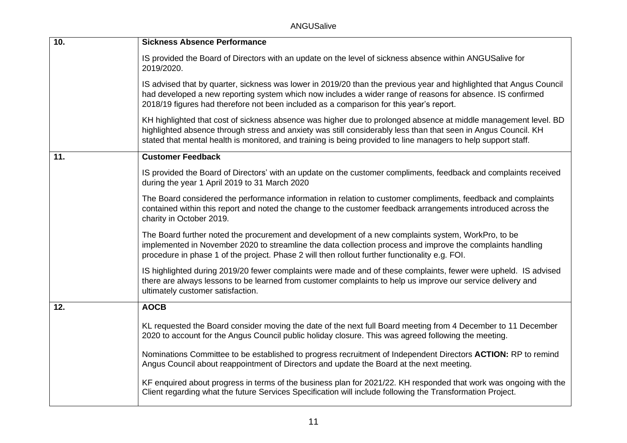ANGUSalive

| 10. | <b>Sickness Absence Performance</b>                                                                                                                                                                                                                                                                                                                 |
|-----|-----------------------------------------------------------------------------------------------------------------------------------------------------------------------------------------------------------------------------------------------------------------------------------------------------------------------------------------------------|
|     | IS provided the Board of Directors with an update on the level of sickness absence within ANGUSalive for<br>2019/2020.                                                                                                                                                                                                                              |
|     | IS advised that by quarter, sickness was lower in 2019/20 than the previous year and highlighted that Angus Council<br>had developed a new reporting system which now includes a wider range of reasons for absence. IS confirmed<br>2018/19 figures had therefore not been included as a comparison for this year's report.                        |
|     | KH highlighted that cost of sickness absence was higher due to prolonged absence at middle management level. BD<br>highlighted absence through stress and anxiety was still considerably less than that seen in Angus Council. KH<br>stated that mental health is monitored, and training is being provided to line managers to help support staff. |
| 11. | <b>Customer Feedback</b>                                                                                                                                                                                                                                                                                                                            |
|     | IS provided the Board of Directors' with an update on the customer compliments, feedback and complaints received<br>during the year 1 April 2019 to 31 March 2020                                                                                                                                                                                   |
|     | The Board considered the performance information in relation to customer compliments, feedback and complaints<br>contained within this report and noted the change to the customer feedback arrangements introduced across the<br>charity in October 2019.                                                                                          |
|     | The Board further noted the procurement and development of a new complaints system, WorkPro, to be<br>implemented in November 2020 to streamline the data collection process and improve the complaints handling<br>procedure in phase 1 of the project. Phase 2 will then rollout further functionality e.g. FOI.                                  |
|     | IS highlighted during 2019/20 fewer complaints were made and of these complaints, fewer were upheld. IS advised<br>there are always lessons to be learned from customer complaints to help us improve our service delivery and<br>ultimately customer satisfaction.                                                                                 |
| 12. | <b>AOCB</b>                                                                                                                                                                                                                                                                                                                                         |
|     | KL requested the Board consider moving the date of the next full Board meeting from 4 December to 11 December<br>2020 to account for the Angus Council public holiday closure. This was agreed following the meeting.                                                                                                                               |
|     | Nominations Committee to be established to progress recruitment of Independent Directors ACTION: RP to remind<br>Angus Council about reappointment of Directors and update the Board at the next meeting.                                                                                                                                           |
|     | KF enquired about progress in terms of the business plan for 2021/22. KH responded that work was ongoing with the<br>Client regarding what the future Services Specification will include following the Transformation Project.                                                                                                                     |